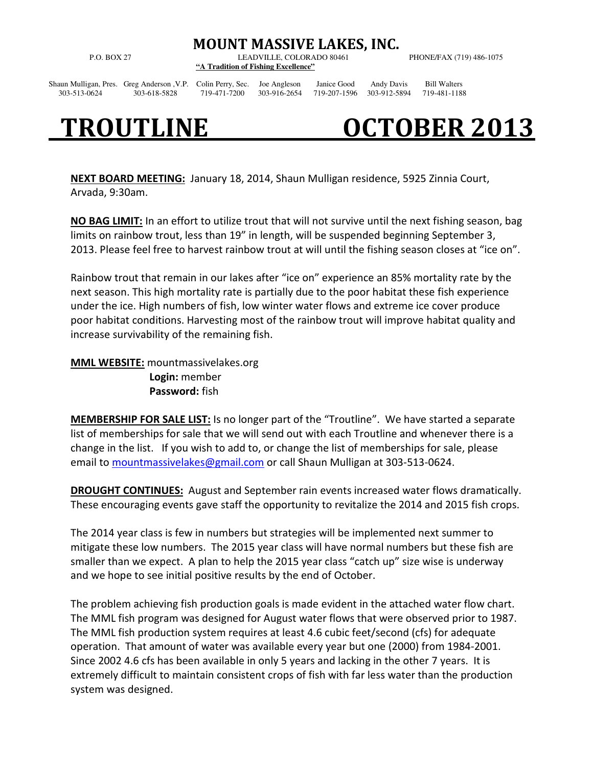MOUNT MASSIVE LAKES, INC.

P.O. BOX 27 LEADVILLE, COLORADO 80461 PHONE/FAX (719) 486-1075 **"A Tradition of Fishing Excellence"** 

Shaun Mulligan, Pres. Greg Anderson ,V.P. Colin Perry, Sec. Joe Angleson Janice Good Andy Davis Bill Walters 303-513-0624 303-618-5828 719-471-7200 303-916-2654 719-207-1596 303-912-5894 719-481-1188

## TROUTLINE OCTOBER 2013

NEXT BOARD MEETING: January 18, 2014, Shaun Mulligan residence, 5925 Zinnia Court, Arvada, 9:30am.

NO BAG LIMIT: In an effort to utilize trout that will not survive until the next fishing season, bag limits on rainbow trout, less than 19" in length, will be suspended beginning September 3, 2013. Please feel free to harvest rainbow trout at will until the fishing season closes at "ice on".

Rainbow trout that remain in our lakes after "ice on" experience an 85% mortality rate by the next season. This high mortality rate is partially due to the poor habitat these fish experience under the ice. High numbers of fish, low winter water flows and extreme ice cover produce poor habitat conditions. Harvesting most of the rainbow trout will improve habitat quality and increase survivability of the remaining fish.

MML WEBSITE: mountmassivelakes.org Login: member Password: fish

MEMBERSHIP FOR SALE LIST: Is no longer part of the "Troutline". We have started a separate list of memberships for sale that we will send out with each Troutline and whenever there is a change in the list. If you wish to add to, or change the list of memberships for sale, please email to mountmassivelakes@gmail.com or call Shaun Mulligan at 303-513-0624.

DROUGHT CONTINUES: August and September rain events increased water flows dramatically. These encouraging events gave staff the opportunity to revitalize the 2014 and 2015 fish crops.

The 2014 year class is few in numbers but strategies will be implemented next summer to mitigate these low numbers. The 2015 year class will have normal numbers but these fish are smaller than we expect. A plan to help the 2015 year class "catch up" size wise is underway and we hope to see initial positive results by the end of October.

The problem achieving fish production goals is made evident in the attached water flow chart. The MML fish program was designed for August water flows that were observed prior to 1987. The MML fish production system requires at least 4.6 cubic feet/second (cfs) for adequate operation. That amount of water was available every year but one (2000) from 1984-2001. Since 2002 4.6 cfs has been available in only 5 years and lacking in the other 7 years. It is extremely difficult to maintain consistent crops of fish with far less water than the production system was designed.